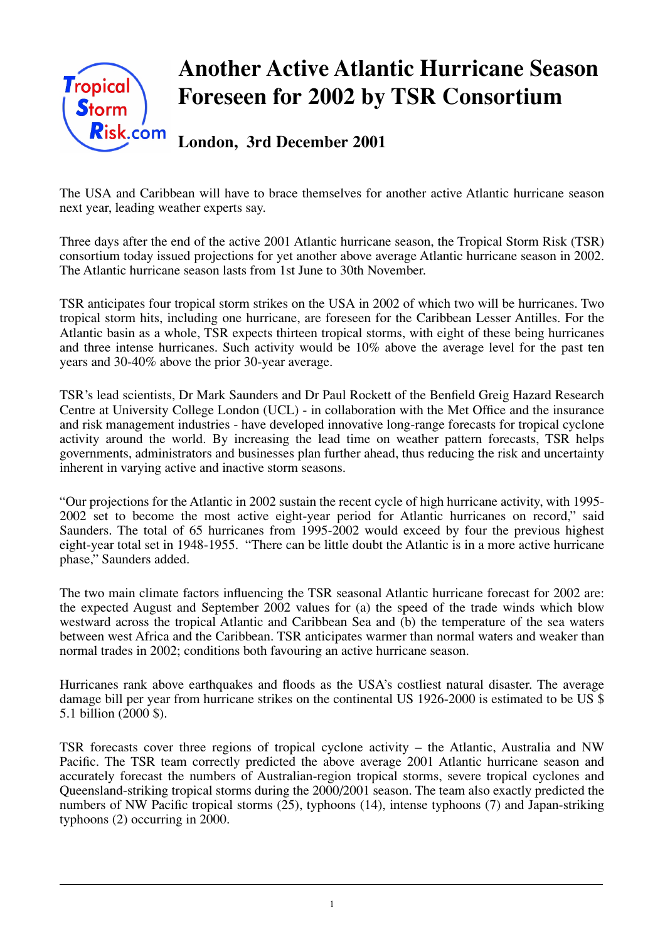

The USA and Caribbean will have to brace themselves for another active Atlantic hurricane season next year, leading weather experts say.

Three days after the end of the active 2001 Atlantic hurricane season, the Tropical Storm Risk (TSR) consortium today issued projections for yet another above average Atlantic hurricane season in 2002. The Atlantic hurricane season lasts from 1st June to 30th November.

TSR anticipates four tropical storm strikes on the USA in 2002 of which two will be hurricanes. Two tropical storm hits, including one hurricane, are foreseen for the Caribbean Lesser Antilles. For the Atlantic basin as a whole, TSR expects thirteen tropical storms, with eight of these being hurricanes and three intense hurricanes. Such activity would be 10% above the average level for the past ten years and 30-40% above the prior 30-year average.

TSR's lead scientists, Dr Mark Saunders and Dr Paul Rockett of the Benfield Greig Hazard Research Centre at University College London (UCL) - in collaboration with the Met Office and the insurance and risk management industries - have developed innovative long-range forecasts for tropical cyclone activity around the world. By increasing the lead time on weather pattern forecasts, TSR helps governments, administrators and businesses plan further ahead, thus reducing the risk and uncertainty inherent in varying active and inactive storm seasons.

"Our projections for the Atlantic in 2002 sustain the recent cycle of high hurricane activity, with 1995- 2002 set to become the most active eight-year period for Atlantic hurricanes on record," said Saunders. The total of 65 hurricanes from 1995-2002 would exceed by four the previous highest eight-year total set in 1948-1955. "There can be little doubt the Atlantic is in a more active hurricane phase," Saunders added.

The two main climate factors influencing the TSR seasonal Atlantic hurricane forecast for 2002 are: the expected August and September 2002 values for (a) the speed of the trade winds which blow westward across the tropical Atlantic and Caribbean Sea and (b) the temperature of the sea waters between west Africa and the Caribbean. TSR anticipates warmer than normal waters and weaker than normal trades in 2002; conditions both favouring an active hurricane season.

Hurricanes rank above earthquakes and floods as the USA's costliest natural disaster. The average damage bill per year from hurricane strikes on the continental US 1926-2000 is estimated to be US \$ 5.1 billion (2000 \$).

TSR forecasts cover three regions of tropical cyclone activity – the Atlantic, Australia and NW Pacific. The TSR team correctly predicted the above average 2001 Atlantic hurricane season and accurately forecast the numbers of Australian-region tropical storms, severe tropical cyclones and Queensland-striking tropical storms during the 2000/2001 season. The team also exactly predicted the numbers of NW Pacific tropical storms (25), typhoons (14), intense typhoons (7) and Japan-striking typhoons (2) occurring in 2000.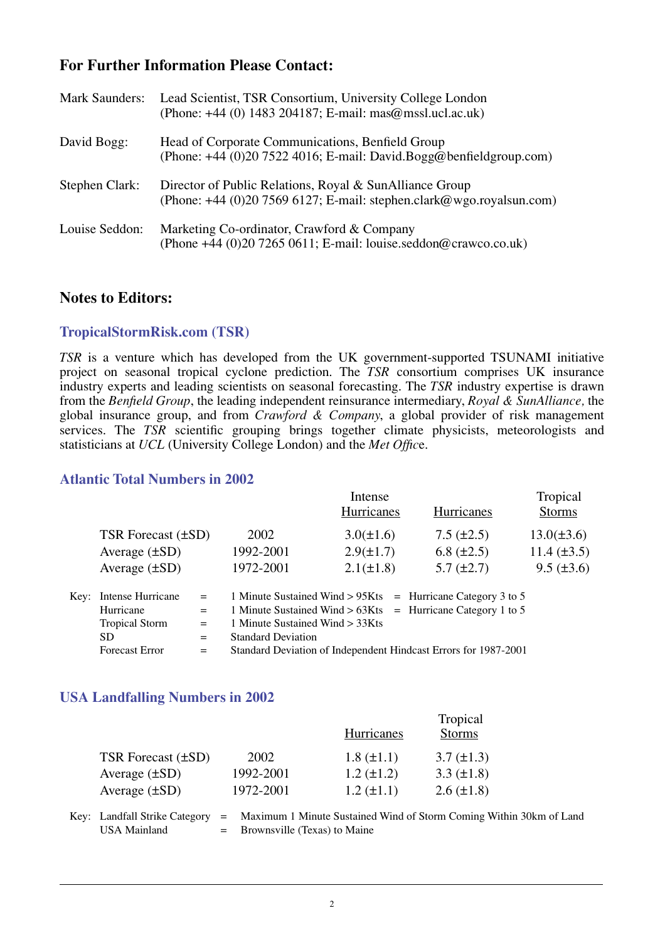# **For Further Information Please Contact:**

| <b>Mark Saunders:</b> | Lead Scientist, TSR Consortium, University College London<br>(Phone: +44 (0) 1483 204187; E-mail: mas@mssl.ucl.ac.uk)             |
|-----------------------|-----------------------------------------------------------------------------------------------------------------------------------|
| David Bogg:           | Head of Corporate Communications, Benfield Group<br>(Phone: $+44$ (0)20 7522 4016; E-mail: David.Bogg@benfieldgroup.com)          |
| Stephen Clark:        | Director of Public Relations, Royal & SunAlliance Group<br>(Phone: $+44$ (0)20 7569 6127; E-mail: stephen.clark@wgo.royalsun.com) |
| Louise Seddon:        | Marketing Co-ordinator, Crawford & Company<br>(Phone $+44$ (0)20 7265 0611; E-mail: louise.seddon@crawco.co.uk)                   |

### **Notes to Editors:**

### **TropicalStormRisk.com (TSR)**

*TSR* is a venture which has developed from the UK government-supported TSUNAMI initiative project on seasonal tropical cyclone prediction. The *TSR* consortium comprises UK insurance industry experts and leading scientists on seasonal forecasting. The *TSR* industry expertise is drawn from the *Benfield Group*, the leading independent reinsurance intermediary, *Royal & SunAlliance,* the global insurance group, and from *Crawford & Company*, a global provider of risk management services. The *TSR* scientific grouping brings together climate physicists, meteorologists and statisticians at *UCL* (University College London) and the *Met Offic*e.

#### **Atlantic Total Numbers in 2002**

|      |                         |     |                                                                 | Intense                                                        | Tropical        |                  |
|------|-------------------------|-----|-----------------------------------------------------------------|----------------------------------------------------------------|-----------------|------------------|
|      |                         |     |                                                                 | Hurricanes                                                     | Hurricanes      | <b>Storms</b>    |
|      | TSR Forecast $(\pm SD)$ |     | 2002                                                            | $3.0(\pm 1.6)$                                                 | $7.5 (\pm 2.5)$ | $13.0(\pm 3.6)$  |
|      | Average $(\pm SD)$      |     | 1992-2001                                                       | $2.9(\pm 1.7)$                                                 | 6.8 $(\pm 2.5)$ | 11.4 $(\pm 3.5)$ |
|      | Average $(\pm SD)$      |     | 1972-2001                                                       | $2.1(\pm 1.8)$                                                 | $5.7 (\pm 2.7)$ | $9.5 (\pm 3.6)$  |
| Kev: | Intense Hurricane       | $=$ |                                                                 | 1 Minute Sustained Wind $> 95K$ ts = Hurricane Category 3 to 5 |                 |                  |
|      | Hurricane               | $=$ |                                                                 | 1 Minute Sustained Wind $> 63K$ ts = Hurricane Category 1 to 5 |                 |                  |
|      | <b>Tropical Storm</b>   | $=$ | 1 Minute Sustained Wind > 33Kts                                 |                                                                |                 |                  |
|      | SD.                     | $=$ | <b>Standard Deviation</b>                                       |                                                                |                 |                  |
|      | <b>Forecast Error</b>   | $=$ | Standard Deviation of Independent Hindcast Errors for 1987-2001 |                                                                |                 |                  |

#### **USA Landfalling Numbers in 2002**

|                               |           | <b>Hurricanes</b> | Tropical<br><b>Storms</b>                                           |
|-------------------------------|-----------|-------------------|---------------------------------------------------------------------|
| TSR Forecast (±SD)            | 2002      | $1.8 (\pm 1.1)$   | $3.7 (\pm 1.3)$                                                     |
| Average $(\pm SD)$            | 1992-2001 | $1.2 (\pm 1.2)$   | 3.3 $(\pm 1.8)$                                                     |
| Average $(\pm SD)$            | 1972-2001 | $1.2 (\pm 1.1)$   | $2.6 \ (\pm 1.8)$                                                   |
| Key: Landfall Strike Category |           |                   | Maximum 1 Minute Sustained Wind of Storm Coming Within 30km of Land |

USA Mainland  $=$  Brownsville (Texas) to Maine